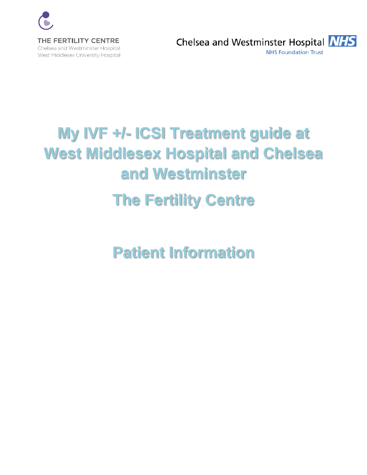

Chelsea and Westminster Hospital **NHS NHS Foundation Trust** 

# **My IVF +/- ICSI Treatment guide at West Middlesex Hospital and Chelsea and Westminster The Fertility Centre**

**Patient Information**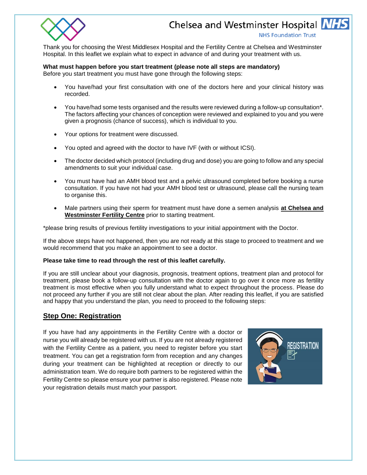

**NHS Foundation Trust** 

Thank you for choosing the West Middlesex Hospital and the Fertility Centre at Chelsea and Westminster Hospital. In this leaflet we explain what to expect in advance of and during your treatment with us.

#### **What must happen before you start treatment (please note all steps are mandatory)**

Before you start treatment you must have gone through the following steps:

- You have/had your first consultation with one of the doctors here and your clinical history was recorded.
- You have/had some tests organised and the results were reviewed during a follow-up consultation\*. The factors affecting your chances of conception were reviewed and explained to you and you were given a prognosis (chance of success), which is individual to you.
- Your options for treatment were discussed.
- You opted and agreed with the doctor to have IVF (with or without ICSI).
- The doctor decided which protocol (including drug and dose) you are going to follow and any special amendments to suit your individual case.
- You must have had an AMH blood test and a pelvic ultrasound completed before booking a nurse consultation. If you have not had your AMH blood test or ultrasound, please call the nursing team to organise this.
- Male partners using their sperm for treatment must have done a semen analysis **at Chelsea and Westminster Fertility Centre** prior to starting treatment.

\*please bring results of previous fertility investigations to your initial appointment with the Doctor.

If the above steps have not happened, then you are not ready at this stage to proceed to treatment and we would recommend that you make an appointment to see a doctor.

#### **Please take time to read through the rest of this leaflet carefully.**

If you are still unclear about your diagnosis, prognosis, treatment options, treatment plan and protocol for treatment, please book a follow-up consultation with the doctor again to go over it once more as fertility treatment is most effective when you fully understand what to expect throughout the process. Please do not proceed any further if you are still not clear about the plan. After reading this leaflet, if you are satisfied and happy that you understand the plan, you need to proceed to the following steps:

### **Step One: Registration**

If you have had any appointments in the Fertility Centre with a doctor or nurse you will already be registered with us. If you are not already registered with the Fertility Centre as a patient, you need to register before you start treatment. You can get a registration form from reception and any changes during your treatment can be highlighted at reception or directly to our administration team. We do require both partners to be registered within the Fertility Centre so please ensure your partner is also registered. Please note your registration details must match your passport.

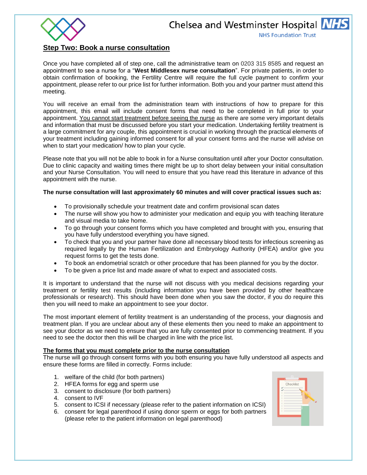

**NHS Foundation Trust** 

#### **Step Two: Book a nurse consultation**

Once you have completed all of step one, call the administrative team on 0203 315 8585 and request an appointment to see a nurse for a "**West Middlesex nurse consultation**". For private patients, in order to obtain confirmation of booking, the Fertility Centre will require the full cycle payment to confirm your appointment, please refer to our price list for further information. Both you and your partner must attend this meeting.

You will receive an email from the administration team with instructions of how to prepare for this appointment, this email will include consent forms that need to be completed in full prior to your appointment. You cannot start treatment before seeing the nurse as there are some very important details and information that must be discussed before you start your medication. Undertaking fertility treatment is a large commitment for any couple, this appointment is crucial in working through the practical elements of your treatment including gaining informed consent for all your consent forms and the nurse will advise on when to start your medication/ how to plan your cycle.

Please note that you will not be able to book in for a Nurse consultation until after your Doctor consultation. Due to clinic capacity and waiting times there might be up to short delay between your initial consultation and your Nurse Consultation. You will need to ensure that you have read this literature in advance of this appointment with the nurse.

#### **The nurse consultation will last approximately 60 minutes and will cover practical issues such as:**

- To provisionally schedule your treatment date and confirm provisional scan dates
- The nurse will show you how to administer your medication and equip you with teaching literature and visual media to take home.
- To go through your consent forms which you have completed and brought with you, ensuring that you have fully understood everything you have signed.
- To check that you and your partner have done all necessary blood tests for infectious screening as required legally by the Human Fertilization and Embryology Authority (HFEA) and/or give you request forms to get the tests done.
- To book an endometrial scratch or other procedure that has been planned for you by the doctor.
- To be given a price list and made aware of what to expect and associated costs.

It is important to understand that the nurse will not discuss with you medical decisions regarding your treatment or fertility test results (including information you have been provided by other healthcare professionals or research). This should have been done when you saw the doctor, if you do require this then you will need to make an appointment to see your doctor.

The most important element of fertility treatment is an understanding of the process, your diagnosis and treatment plan. If you are unclear about any of these elements then you need to make an appointment to see your doctor as we need to ensure that you are fully consented prior to commencing treatment. If you need to see the doctor then this will be charged in line with the price list.

#### **The forms that you must complete prior to the nurse consultation**

The nurse will go through consent forms with you both ensuring you have fully understood all aspects and ensure these forms are filled in correctly. Forms include:

- 1. welfare of the child (for both partners)
- 2. HFEA forms for egg and sperm use
- 3. consent to disclosure (for both partners)
- 4. consent to IVF
- 5. consent to ICSI if necessary (please refer to the patient information on ICSI)
- 6. consent for legal parenthood if using donor sperm or eggs for both partners (please refer to the patient information on legal parenthood)

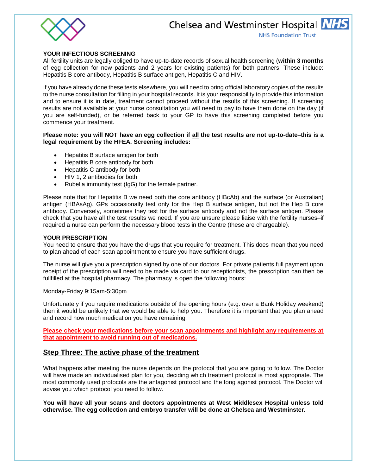

#### **YOUR INFECTIOUS SCREENING**

All fertility units are legally obliged to have up-to-date records of sexual health screening (**within 3 months** of egg collection for new patients and 2 years for existing patients) for both partners. These include: Hepatitis B core antibody, Hepatitis B surface antigen, Hepatitis C and HIV.

If you have already done these tests elsewhere, you will need to bring official laboratory copies of the results to the nurse consultation for filling in your hospital records. It is your responsibility to provide this information and to ensure it is in date, treatment cannot proceed without the results of this screening. If screening results are not available at your nurse consultation you will need to pay to have them done on the day (if you are self-funded), or be referred back to your GP to have this screening completed before you commence your treatment.

#### **Please note: you will NOT have an egg collection if all the test results are not up-to-date–this is a legal requirement by the HFEA. Screening includes:**

- Hepatitis B surface antigen for both
- Hepatitis B core antibody for both
- Hepatitis C antibody for both
- HIV 1, 2 antibodies for both
- Rubella immunity test (IgG) for the female partner.

Please note that for Hepatitis B we need both the core antibody (HBcAb) and the surface (or Australian) antigen (HBAsAg). GPs occasionally test only for the Hep B surface antigen, but not the Hep B core antibody. Conversely, sometimes they test for the surface antibody and not the surface antigen. Please check that you have all the test results we need. If you are unsure please liaise with the fertility nurses–if required a nurse can perform the necessary blood tests in the Centre (these are chargeable).

#### **YOUR PRESCRIPTION**

You need to ensure that you have the drugs that you require for treatment. This does mean that you need to plan ahead of each scan appointment to ensure you have sufficient drugs.

The nurse will give you a prescription signed by one of our doctors. For private patients full payment upon receipt of the prescription will need to be made via card to our receptionists, the prescription can then be fullfilled at the hospital pharmacy. The pharmacy is open the following hours:

#### Monday-Friday 9:15am-5:30pm

Unfortunately if you require medications outside of the opening hours (e.g. over a Bank Holiday weekend) then it would be unlikely that we would be able to help you. Therefore it is important that you plan ahead and record how much medication you have remaining.

**Please check your medications before your scan appointments and highlight any requirements at that appointment to avoid running out of medications.** 

### **Step Three: The active phase of the treatment**

What happens after meeting the nurse depends on the protocol that you are going to follow. The Doctor will have made an individualised plan for you, deciding which treatment protocol is most appropriate. The most commonly used protocols are the antagonist protocol and the long agonist protocol. The Doctor will advise you which protocol you need to follow.

**You will have all your scans and doctors appointments at West Middlesex Hospital unless told otherwise. The egg collection and embryo transfer will be done at Chelsea and Westminster.**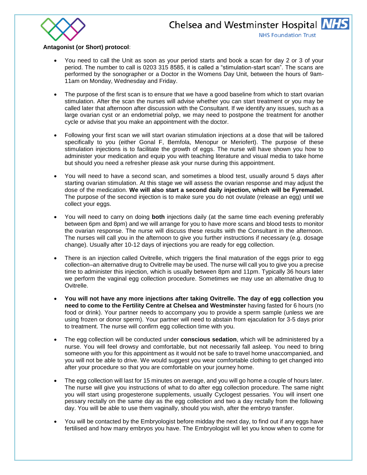

#### **Antagonist (or Short) protocol**:

- You need to call the Unit as soon as your period starts and book a scan for day 2 or 3 of your period. The number to call is 0203 315 8585, it is called a "stimulation-start scan". The scans are performed by the sonographer or a Doctor in the Womens Day Unit, between the hours of 9am-11am on Monday, Wednesday and Friday.
- The purpose of the first scan is to ensure that we have a good baseline from which to start ovarian stimulation. After the scan the nurses will advise whether you can start treatment or you may be called later that afternoon after discussion with the Consultant. If we identify any issues, such as a large ovarian cyst or an endometrial polyp, we may need to postpone the treatment for another cycle or advise that you make an appointment with the doctor.
- Following your first scan we will start ovarian stimulation injections at a dose that will be tailored specifically to you (either Gonal F, Bemfola, Menopur or Meriofert). The purpose of these stimulation injections is to facilitate the growth of eggs. The nurse will have shown you how to administer your medication and equip you with teaching literature and visual media to take home but should you need a refresher please ask your nurse during this appointment.
- You will need to have a second scan, and sometimes a blood test, usually around 5 days after starting ovarian stimulation. At this stage we will assess the ovarian response and may adjust the dose of the medication. **We will also start a second daily injection, which will be Fyremadel.**  The purpose of the second injection is to make sure you do not ovulate (release an egg) until we collect your eggs.
- You will need to carry on doing **both** injections daily (at the same time each evening preferably between 6pm and 8pm) and we will arrange for you to have more scans and blood tests to monitor the ovarian response. The nurse will discuss these results with the Consultant in the afternoon. The nurses will call you in the afternoon to give you further instructions if necessary (e.g. dosage change). Usually after 10-12 days of injections you are ready for egg collection.
- There is an injection called Ovitrelle, which triggers the final maturation of the eggs prior to egg collection–an alternative drug to Ovitrelle may be used. The nurse will call you to give you a precise time to administer this injection, which is usually between 8pm and 11pm. Typically 36 hours later we perform the vaginal egg collection procedure. Sometimes we may use an alternative drug to Ovitrelle.
- **You will not have any more injections after taking Ovitrelle. The day of egg collection you need to come to the Fertility Centre at Chelsea and Westminster** having fasted for 6 hours (no food or drink). Your partner needs to accompany you to provide a sperm sample (unless we are using frozen or donor sperm). Your partner will need to abstain from ejaculation for 3-5 days prior to treatment. The nurse will confirm egg collection time with you.
- The egg collection will be conducted under **conscious sedation**, which will be administered by a nurse. You will feel drowsy and comfortable, but not necessarily fall asleep. You need to bring someone with you for this appointment as it would not be safe to travel home unaccompanied, and you will not be able to drive. We would suggest you wear comfortable clothing to get changed into after your procedure so that you are comfortable on your journey home.
- The egg collection will last for 15 minutes on average, and you will go home a couple of hours later. The nurse will give you instructions of what to do after egg collection procedure. The same night you will start using progesterone supplements, usually Cyclogest pessaries. You will insert one pessary rectally on the same day as the egg collection and two a day rectally from the following day. You will be able to use them vaginally, should you wish, after the embryo transfer.
- You will be contacted by the Embryologist before midday the next day, to find out if any eggs have fertilised and how many embryos you have. The Embryologist will let you know when to come for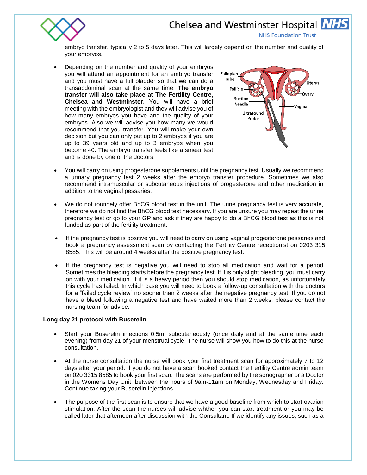

**NHS Foundation Trust** 

embryo transfer, typically 2 to 5 days later. This will largely depend on the number and quality of your embryos.

 Depending on the number and quality of your embryos you will attend an appointment for an embryo transfer and you must have a full bladder so that we can do a transabdominal scan at the same time. **The embryo transfer will also take place at The Fertility Centre, Chelsea and Westminster**. You will have a brief meeting with the embryologist and they will advise you of how many embryos you have and the quality of your embryos. Also we will advise you how many we would recommend that you transfer. You will make your own decision but you can only put up to 2 embryos if you are up to 39 years old and up to 3 embryos when you become 40. The embryo transfer feels like a smear test and is done by one of the doctors.



- You will carry on using progesterone supplements until the pregnancy test. Usually we recommend a urinary pregnancy test 2 weeks after the embryo transfer procedure. Sometimes we also recommend intramuscular or subcutaneous injections of progesterone and other medication in addition to the vaginal pessaries.
- We do not routinely offer BhCG blood test in the unit. The urine pregnancy test is very accurate, therefore we do not find the BhCG blood test necessary. If you are unsure you may repeat the urine pregnancy test or go to your GP and ask if they are happy to do a BhCG blood test as this is not funded as part of the fertility treatment.
- If the pregnancy test is positive you will need to carry on using vaginal progesterone pessaries and book a pregnancy assessment scan by contacting the Fertility Centre receptionist on 0203 315 8585. This will be around 4 weeks after the positive pregnancy test.
- If the pregnancy test is negative you will need to stop all medication and wait for a period. Sometimes the bleeding starts before the pregnancy test. If it is only slight bleeding, you must carry on with your medication. If it is a heavy period then you should stop medication, as unfortunately this cycle has failed. In which case you will need to book a follow-up consultation with the doctors for a "failed cycle review" no sooner than 2 weeks after the negative pregnancy test. If you do not have a bleed following a negative test and have waited more than 2 weeks, please contact the nursing team for advice.

#### **Long day 21 protocol with Buserelin**

- Start your Buserelin injections 0.5ml subcutaneously (once daily and at the same time each evening) from day 21 of your menstrual cycle. The nurse will show you how to do this at the nurse consultation.
- At the nurse consultation the nurse will book your first treatment scan for approximately 7 to 12 days after your period. If you do not have a scan booked contact the Fertility Centre admin team on 020 3315 8585 to book your first scan. The scans are performed by the sonographer or a Doctor in the Womens Day Unit, between the hours of 9am-11am on Monday, Wednesday and Friday. Continue taking your Buserelin injections.
- The purpose of the first scan is to ensure that we have a good baseline from which to start ovarian stimulation. After the scan the nurses will advise whther you can start treatment or you may be called later that afternoon after discussion with the Consultant. If we identify any issues, such as a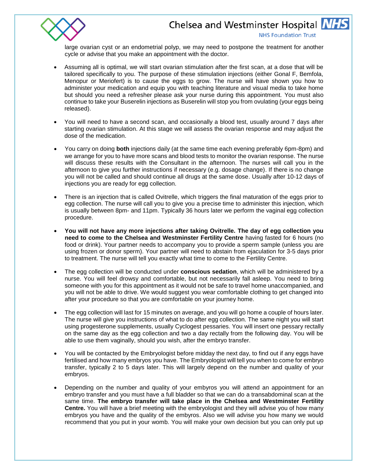

**NHS Foundation Trust** 

large ovarian cyst or an endometrial polyp, we may need to postpone the treatment for another cycle or advise that you make an appointment with the doctor.

- Assuming all is optimal, we will start ovarian stimulation after the first scan, at a dose that will be tailored specifically to you. The purpose of these stimulation injections (either Gonal F, Bemfola, Menopur or Meriofert) is to cause the eggs to grow. The nurse will have shown you how to administer your medication and equip you with teaching literature and visual media to take home but should you need a refresher please ask your nurse during this appointment. You must also continue to take your Buserelin injections as Buserelin will stop you from ovulating (your eggs being released).
- You will need to have a second scan, and occasionally a blood test, usually around 7 days after starting ovarian stimulation. At this stage we will assess the ovarian response and may adjust the dose of the medication.
- You carry on doing **both** injections daily (at the same time each evening preferably 6pm-8pm) and we arrange for you to have more scans and blood tests to monitor the ovarian response. The nurse will discuss these results with the Consultant in the afternoon. The nurses will call you in the afternoon to give you further instructions if necessary (e.g. dosage change). If there is no change you will not be called and should continue all drugs at the same dose. Usually after 10-12 days of injections you are ready for egg collection.
- There is an injection that is called Ovitrelle, which triggers the final maturation of the eggs prior to egg collection. The nurse will call you to give you a precise time to administer this injection, which is usually between 8pm- and 11pm. Typically 36 hours later we perform the vaginal egg collection procedure.
- **You will not have any more injections after taking Ovitrelle. The day of egg collection you need to come to the Chelsea and Westminster Fertility Centre** having fasted for 6 hours (no food or drink). Your partner needs to accompany you to provide a sperm sample (unless you are using frozen or donor sperm). Your partner will need to abstain from ejaculation for 3-5 days prior to treatment. The nurse will tell you exactly what time to come to the Fertility Centre.
- The egg collection will be conducted under **conscious sedation**, which will be administered by a nurse. You will feel drowsy and comfortable, but not necessarily fall asleep. You need to bring someone with you for this appointment as it would not be safe to travel home unaccompanied, and you will not be able to drive. We would suggest you wear comfortable clothing to get changed into after your procedure so that you are comfortable on your journey home.
- The egg collection will last for 15 minutes on average, and you will go home a couple of hours later. The nurse will give you instructions of what to do after egg collection. The same night you will start using progesterone supplements, usually Cyclogest pessaries. You will insert one pessary rectally on the same day as the egg collection and two a day rectally from the following day. You will be able to use them vaginally, should you wish, after the embryo transfer.
- You will be contacted by the Embryologist before midday the next day, to find out if any eggs have fertilised and how many embryos you have. The Embryologist will tell you when to come for embryo transfer, typically 2 to 5 days later. This will largely depend on the number and quality of your embryos.
- Depending on the number and quality of your embyros you will attend an appointment for an embryo transfer and you must have a full bladder so that we can do a transabdominal scan at the same time. **The embryo transfer will take place in the Chelsea and Westminster Fertility Centre.** You will have a brief meeting with the embryologist and they will advise you of how many embryos you have and the quality of the embyros. Also we will advise you how many we would recommend that you put in your womb. You will make your own decision but you can only put up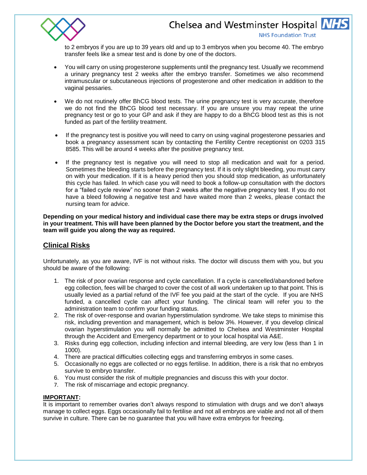

**NHS Foundation Trust** 

to 2 embryos if you are up to 39 years old and up to 3 embryos when you become 40. The embryo transfer feels like a smear test and is done by one of the doctors.

- You will carry on using progesterone supplements until the pregnancy test. Usually we recommend a urinary pregnancy test 2 weeks after the embryo transfer. Sometimes we also recommend intramuscular or subcutaneous injections of progesterone and other medication in addition to the vaginal pessaries.
- We do not routinely offer BhCG blood tests. The urine pregnancy test is very accurate, therefore we do not find the BhCG blood test necessary. If you are unsure you may repeat the urine pregnancy test or go to your GP and ask if they are happy to do a BhCG blood test as this is not funded as part of the fertility treatment.
- If the pregnancy test is positive you will need to carry on using vaginal progesterone pessaries and book a pregnancy assessment scan by contacting the Fertility Centre receptionist on 0203 315 8585. This will be around 4 weeks after the positive pregnancy test.
- If the pregnancy test is negative you will need to stop all medication and wait for a period. Sometimes the bleeding starts before the pregnancy test. If it is only slight bleeding, you must carry on with your medication. If it is a heavy period then you should stop medication, as unfortunately this cycle has failed. In which case you will need to book a follow-up consultation with the doctors for a "failed cycle review" no sooner than 2 weeks after the negative pregnancy test. If you do not have a bleed following a negative test and have waited more than 2 weeks, please contact the nursing team for advice.

**Depending on your medical history and individual case there may be extra steps or drugs involved in your treatment. This will have been planned by the Doctor before you start the treatment, and the team will guide you along the way as required.** 

# **Clinical Risks**

Unfortunately, as you are aware, IVF is not without risks. The doctor will discuss them with you, but you should be aware of the following:

- 1. The risk of poor ovarian response and cycle cancellation. If a cycle is cancelled/abandoned before egg collection, fees will be charged to cover the cost of all work undertaken up to that point. This is usually levied as a partial refund of the IVF fee you paid at the start of the cycle. If you are NHS funded, a cancelled cycle can affect your funding. The clinical team will refer you to the administration team to confirm your funding status.
- 2. The risk of over-response and ovarian hyperstimulation syndrome. We take steps to minimise this risk, including prevention and management, which is below 3%. However, if you develop clinical ovarian hyperstimulation you will normally be admitted to Chelsea and Westminster Hospital through the Accident and Emergency department or to your local hospital via A&E.
- 3. Risks during egg collection, including infection and internal bleeding, are very low (less than 1 in 1000).
- 4. There are practical difficulties collecting eggs and transferring embryos in some cases.
- 5. Occasionally no eggs are collected or no eggs fertilise. In addition, there is a risk that no embryos survive to embryo transfer.
- 6. You must consider the risk of multiple pregnancies and discuss this with your doctor.
- 7. The risk of miscarriage and ectopic pregnancy.

#### **IMPORTANT:**

It is important to remember ovaries don't always respond to stimulation with drugs and we don't always manage to collect eggs. Eggs occasionally fail to fertilise and not all embryos are viable and not all of them survive in culture. There can be no guarantee that you will have extra embryos for freezing.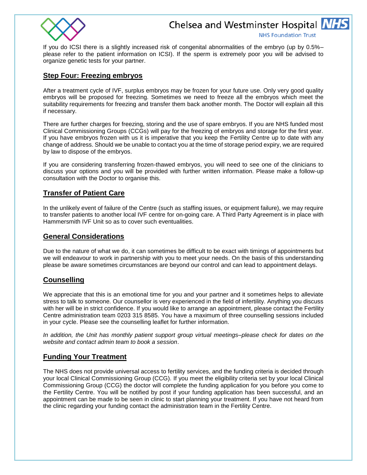

**NHS Foundation Trust** 

If you do ICSI there is a slightly increased risk of congenital abnormalities of the embryo (up by 0.5%– please refer to the patient information on ICSI). If the sperm is extremely poor you will be advised to organize genetic tests for your partner.

### **Step Four: Freezing embryos**

After a treatment cycle of IVF, surplus embryos may be frozen for your future use. Only very good quality embryos will be proposed for freezing. Sometimes we need to freeze all the embryos which meet the suitability requirements for freezing and transfer them back another month. The Doctor will explain all this if necessary.

There are further charges for freezing, storing and the use of spare embryos. If you are NHS funded most Clinical Commissioning Groups (CCGs) will pay for the freezing of embryos and storage for the first year. If you have embryos frozen with us it is imperative that you keep the Fertility Centre up to date with any change of address. Should we be unable to contact you at the time of storage period expiry, we are required by law to dispose of the embryos.

If you are considering transferring frozen-thawed embryos, you will need to see one of the clinicians to discuss your options and you will be provided with further written information. Please make a follow-up consultation with the Doctor to organise this.

# **Transfer of Patient Care**

In the unlikely event of failure of the Centre (such as staffing issues, or equipment failure), we may require to transfer patients to another local IVF centre for on-going care. A Third Party Agreement is in place with Hammersmith IVF Unit so as to cover such eventualities.

## **General Considerations**

Due to the nature of what we do, it can sometimes be difficult to be exact with timings of appointments but we will endeavour to work in partnership with you to meet your needs. On the basis of this understanding please be aware sometimes circumstances are beyond our control and can lead to appointment delays.

# **Counselling**

We appreciate that this is an emotional time for you and your partner and it sometimes helps to alleviate stress to talk to someone. Our counsellor is very experienced in the field of infertility. Anything you discuss with her will be in strict confidence. If you would like to arrange an appointment, please contact the Fertility Centre administration team 0203 315 8585. You have a maximum of three counselling sessions included in your cycle. Please see the counselling leaflet for further information.

*In addition, the Unit has monthly patient support group virtual meetings–please check for dates on the website and contact admin team to book a session*.

### **Funding Your Treatment**

The NHS does not provide universal access to fertility services, and the funding criteria is decided through your local Clinical Commissioning Group (CCG). If you meet the eligibility criteria set by your local Clinical Commissioning Group (CCG) the doctor will complete the funding application for you before you come to the Fertility Centre. You will be notified by post if your funding application has been successful, and an appointment can be made to be seen in clinic to start planning your treatment. If you have not heard from the clinic regarding your funding contact the administration team in the Fertility Centre.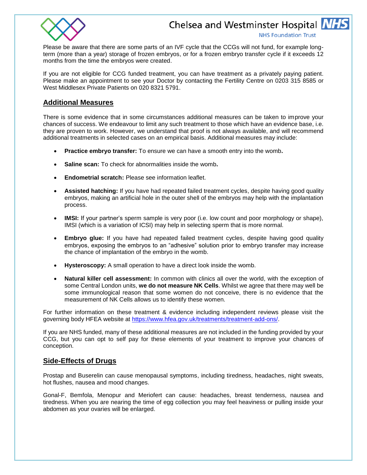

**NHS Foundation Trust** 

Please be aware that there are some parts of an IVF cycle that the CCGs will not fund, for example longterm (more than a year) storage of frozen embryos, or for a frozen embryo transfer cycle if it exceeds 12 months from the time the embryos were created.

If you are not eligible for CCG funded treatment, you can have treatment as a privately paying patient. Please make an appointment to see your Doctor by contacting the Fertility Centre on 0203 315 8585 or West Middlesex Private Patients on 020 8321 5791.

#### **Additional Measures**

There is some evidence that in some circumstances additional measures can be taken to improve your chances of success. We endeavour to limit any such treatment to those which have an evidence base, i.e. they are proven to work. However, we understand that proof is not always available, and will recommend additional treatments in selected cases on an empirical basis. Additional measures may include:

- **Practice embryo transfer:** To ensure we can have a smooth entry into the womb**.**
- **Saline scan:** To check for abnormalities inside the womb**.**
- **Endometrial scratch:** Please see information leaflet.
- **Assisted hatching:** If you have had repeated failed treatment cycles, despite having good quality embryos, making an artificial hole in the outer shell of the embryos may help with the implantation process.
- **IMSI:** If your partner's sperm sample is very poor (i.e. low count and poor morphology or shape), IMSI (which is a variation of ICSI) may help in selecting sperm that is more normal.
- **Embryo glue:** If you have had repeated failed treatment cycles, despite having good quality embryos, exposing the embryos to an "adhesive" solution prior to embryo transfer may increase the chance of implantation of the embryo in the womb.
- **Hysteroscopy:** A small operation to have a direct look inside the womb.
- **Natural killer cell assessment:** In common with clinics all over the world, with the exception of some Central London units, **we do not measure NK Cells**. Whilst we agree that there may well be some immunological reason that some women do not conceive, there is no evidence that the measurement of NK Cells allows us to identify these women.

For further information on these treatment & evidence including independent reviews please visit the governing body HFEA website at [https://www.hfea.gov.uk/treatments/treatment-add-ons/.](https://www.hfea.gov.uk/treatments/treatment-add-ons/)

If you are NHS funded, many of these additional measures are not included in the funding provided by your CCG, but you can opt to self pay for these elements of your treatment to improve your chances of conception.

### **Side-Effects of Drugs**

Prostap and Buserelin can cause menopausal symptoms, including tiredness, headaches, night sweats, hot flushes, nausea and mood changes.

Gonal-F, Bemfola, Menopur and Meriofert can cause: headaches, breast tenderness, nausea and tiredness. When you are nearing the time of egg collection you may feel heaviness or pulling inside your abdomen as your ovaries will be enlarged.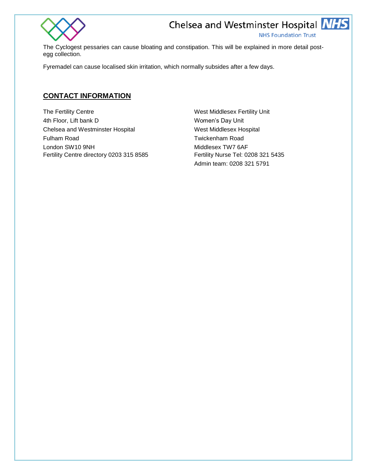

**NHS Foundation Trust** 

The Cyclogest pessaries can cause bloating and constipation. This will be explained in more detail postegg collection.

Fyremadel can cause localised skin irritation, which normally subsides after a few days.

# **CONTACT INFORMATION**

The Fertility Centre West Middlesex Fertility Unit 4th Floor, Lift bank D Women's Day Unit Chelsea and Westminster Hospital West Middlesex Hospital Fulham Road Twickenham Road London SW10 9NH Middlesex TW7 6AF Fertility Centre directory 0203 315 8585 Fertility Nurse Tel: 0208 321 5435

Admin team: 0208 321 5791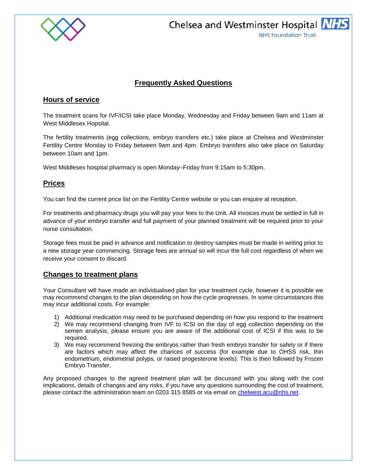

Chelsea and Westminster Hospital **NHS NHS Foundation Trust** 

# **Frequently Asked Questions**

# **Hours of service**

The treatment scans for IVF/ICSI take place Monday, Wednesday and Friday between 9am and 11am at West Middlesex Hopsital.

The fertility treatments (egg collections, embryo transfers etc.) take place at Chelsea and Westminster Fertility Centre Monday to Friday between 9am and 4pm. Embryo transfers also take place on Saturday between 10am and 1pm.

West Middlesex hospital pharmacy is open Monday–Friday from 9:15am to 5:30pm.

## **Prices**

You can find the current price list on the Fertility Centre website or you can enquire at reception.

For treatments and pharmacy drugs you will pay your fees to the Unit. All invoices must be settled in full in advance of your embryo transfer and full payment of your planned treatment will be required prior to your nurse consultation.

Storage fees must be paid in advance and notification to destroy samples must be made in writing prior to a new storage year commencing. Storage fees are annual so will incur the full cost regardless of when we receive your consent to discard.

### **Changes to treatment plans**

Your Consultant will have made an individualised plan for your treatment cycle, however it is possible we may recommend changes to the plan depending on how the cycle progresses. In some circumstances this may incur additional costs. For example:

- 1) Additional medication may need to be purchased depending on how you respond to the treatment
- 2) We may recommend changing from IVF to ICSI on the day of egg collection depending on the semen analysis, please ensure you are aware of the additional cost of ICSI if this was to be required.
- 3) We may recommend freezing the embryos rather than fresh embryo transfer for safety or if there are factors which may affect the chances of success (for example due to OHSS risk, thin endometrium, endometrial polyps, or raised progesterone levels). This is then followed by Frozen Embryo Transfer.

Any proposed changes to the agreed treatment plan will be discussed with you along with the cost implications, details of changes and any risks, if you have any questions surrounding the cost of treatment, please contact the administration team on 0203 315 8585 or via email on [chelwest.acu@nhs.net.](mailto:chelwest.acu@nhs.net)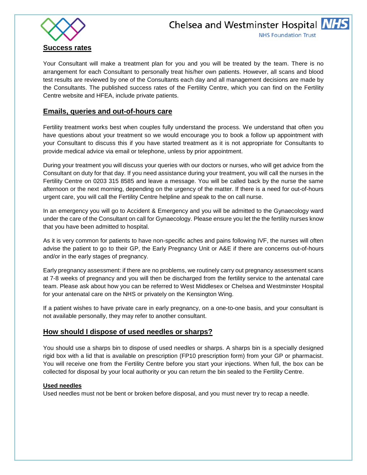

Your Consultant will make a treatment plan for you and you will be treated by the team. There is no arrangement for each Consultant to personally treat his/her own patients. However, all scans and blood test results are reviewed by one of the Consultants each day and all management decisions are made by the Consultants. The published success rates of the Fertility Centre, which you can find on the Fertility Centre website and HFEA, include private patients.

# **Emails, queries and out-of-hours care**

Fertility treatment works best when couples fully understand the process. We understand that often you have questions about your treatment so we would encourage you to book a follow up appointment with your Consultant to discuss this if you have started treatment as it is not appropriate for Consultants to provide medical advice via email or telephone, unless by prior appointment.

During your treatment you will discuss your queries with our doctors or nurses, who will get advice from the Consultant on duty for that day. If you need assistance during your treatment, you will call the nurses in the Fertility Centre on 0203 315 8585 and leave a message. You will be called back by the nurse the same afternoon or the next morning, depending on the urgency of the matter. If there is a need for out-of-hours urgent care, you will call the Fertility Centre helpline and speak to the on call nurse.

In an emergency you will go to Accident & Emergency and you will be admitted to the Gynaecology ward under the care of the Consultant on call for Gynaecology. Please ensure you let the the fertility nurses know that you have been admitted to hospital.

As it is very common for patients to have non-specific aches and pains following IVF, the nurses will often advise the patient to go to their GP, the Early Pregnancy Unit or A&E if there are concerns out-of-hours and/or in the early stages of pregnancy.

Early pregnancy assessment: if there are no problems, we routinely carry out pregnancy assessment scans at 7-8 weeks of pregnancy and you will then be discharged from the fertility service to the antenatal care team. Please ask about how you can be referred to West Middlesex or Chelsea and Westminster Hospital for your antenatal care on the NHS or privately on the Kensington Wing.

If a patient wishes to have private care in early pregnancy, on a one-to-one basis, and your consultant is not available personally, they may refer to another consultant.

# **How should I dispose of used needles or sharps?**

You should use a sharps bin to dispose of used needles or sharps. A sharps bin is a specially designed rigid box with a lid that is available on prescription (FP10 prescription form) from your GP or pharmacist. You will receive one from the Fertility Centre before you start your injections. When full, the box can be collected for disposal by your local authority or you can return the bin sealed to the Fertility Centre.

### **Used needles**

Used needles must not be bent or broken before disposal, and you must never try to recap a needle.